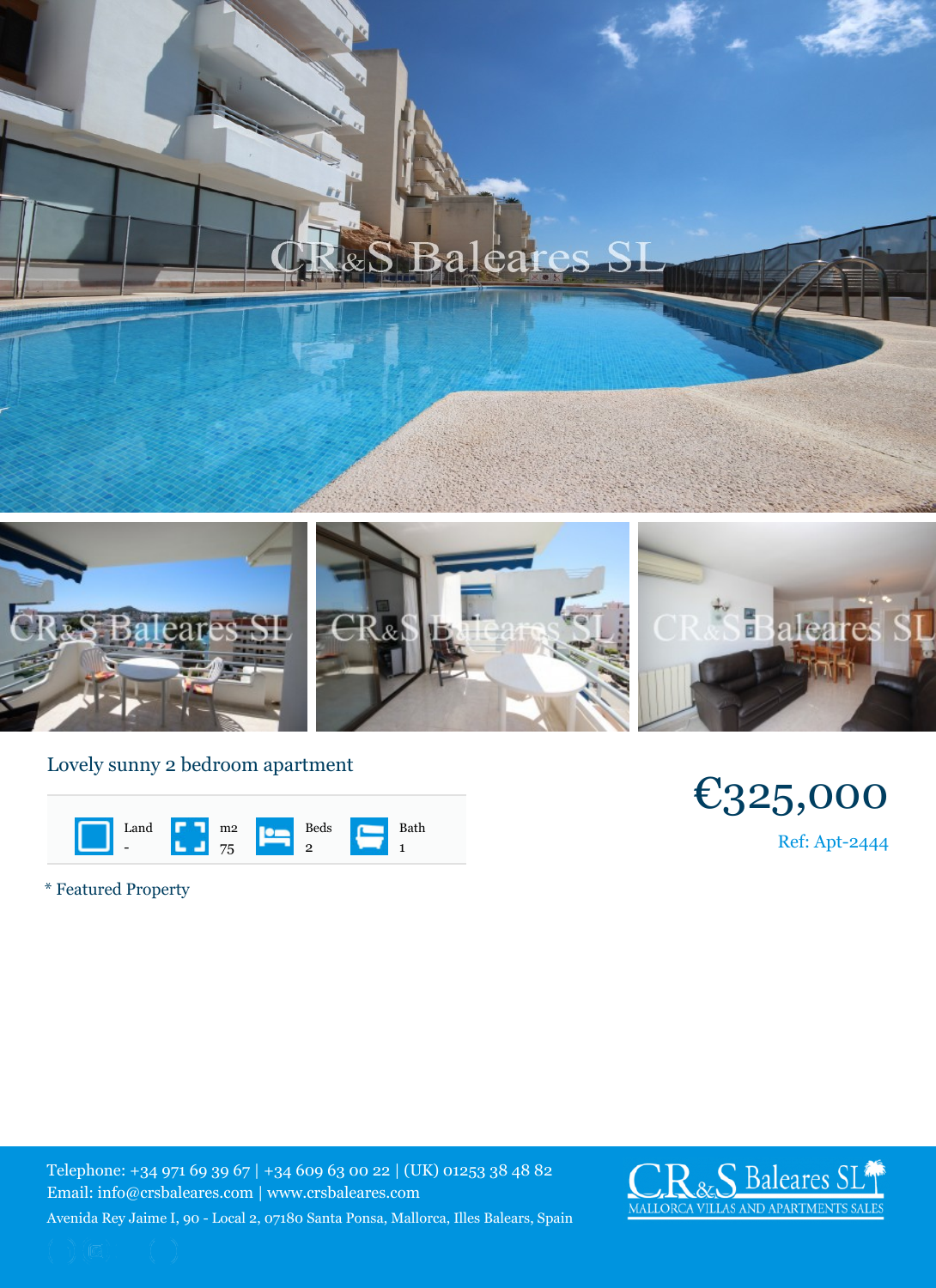## Lovely sunny 2 bedroom aparti

| Land           | m <sub>2</sub> | Beds | Bath |
|----------------|----------------|------|------|
| $\blacksquare$ | 75             |      |      |

\* Featured Property

Telephone: +34 971 69 39 67 | +34 609 63 00 22 | (UK) 012 Email: info@crsbaleares.com | www.crsbaleares.com Avenida Rey Jaime I, 90 - Local 2, 07180 Santa Ponsa, Mallorca, I

 $\overline{1}$